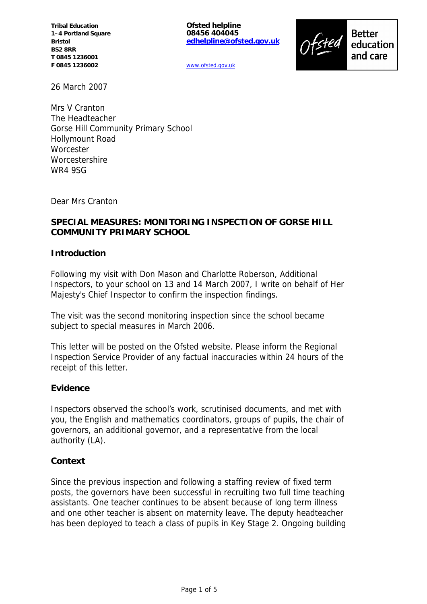**Tribal Education 1–4 Portland Square Bristol BS2 8RR T 0845 1236001 F 0845 1236002**

**Ofsted helpline 08456 404045 edhelpline@ofsted.gov.uk**

**Better** education and care

www.ofsted.gov.uk

26 March 2007

Mrs V Cranton The Headteacher Gorse Hill Community Primary School Hollymount Road **Worcester** Worcestershire WR4 9SG

Dear Mrs Cranton

## **SPECIAL MEASURES: MONITORING INSPECTION OF GORSE HILL COMMUNITY PRIMARY SCHOOL**

## **Introduction**

Following my visit with Don Mason and Charlotte Roberson, Additional Inspectors, to your school on 13 and 14 March 2007, I write on behalf of Her Majesty's Chief Inspector to confirm the inspection findings.

The visit was the second monitoring inspection since the school became subject to special measures in March 2006.

This letter will be posted on the Ofsted website. Please inform the Regional Inspection Service Provider of any factual inaccuracies within 24 hours of the receipt of this letter.

### **Evidence**

Inspectors observed the school's work, scrutinised documents, and met with you, the English and mathematics coordinators, groups of pupils, the chair of governors, an additional governor, and a representative from the local authority (LA).

### **Context**

Since the previous inspection and following a staffing review of fixed term posts, the governors have been successful in recruiting two full time teaching assistants. One teacher continues to be absent because of long term illness and one other teacher is absent on maternity leave. The deputy headteacher has been deployed to teach a class of pupils in Key Stage 2. Ongoing building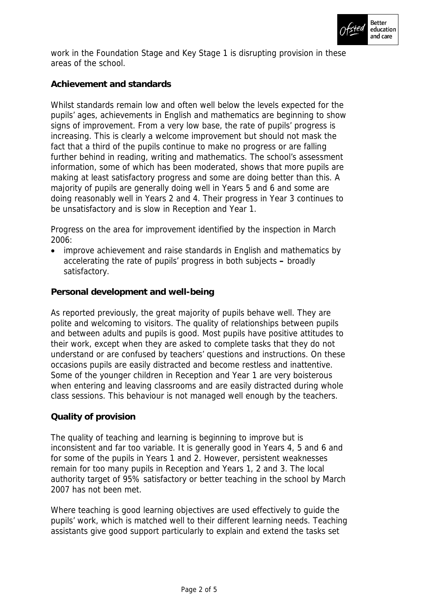

work in the Foundation Stage and Key Stage 1 is disrupting provision in these areas of the school.

# **Achievement and standards**

Whilst standards remain low and often well below the levels expected for the pupils' ages, achievements in English and mathematics are beginning to show signs of improvement. From a very low base, the rate of pupils' progress is increasing. This is clearly a welcome improvement but should not mask the fact that a third of the pupils continue to make no progress or are falling further behind in reading, writing and mathematics. The school's assessment information, some of which has been moderated, shows that more pupils are making at least satisfactory progress and some are doing better than this. A majority of pupils are generally doing well in Years 5 and 6 and some are doing reasonably well in Years 2 and 4. Their progress in Year 3 continues to be unsatisfactory and is slow in Reception and Year 1.

Progress on the area for improvement identified by the inspection in March 2006:

 improve achievement and raise standards in English and mathematics by accelerating the rate of pupils' progress in both subjects **–** broadly satisfactory.

**Personal development and well-being**

As reported previously, the great majority of pupils behave well. They are polite and welcoming to visitors. The quality of relationships between pupils and between adults and pupils is good. Most pupils have positive attitudes to their work, except when they are asked to complete tasks that they do not understand or are confused by teachers' questions and instructions. On these occasions pupils are easily distracted and become restless and inattentive. Some of the younger children in Reception and Year 1 are very boisterous when entering and leaving classrooms and are easily distracted during whole class sessions. This behaviour is not managed well enough by the teachers.

## **Quality of provision**

The quality of teaching and learning is beginning to improve but is inconsistent and far too variable. It is generally good in Years 4, 5 and 6 and for some of the pupils in Years 1 and 2. However, persistent weaknesses remain for too many pupils in Reception and Years 1, 2 and 3. The local authority target of 95% satisfactory or better teaching in the school by March 2007 has not been met.

Where teaching is good learning objectives are used effectively to guide the pupils' work, which is matched well to their different learning needs. Teaching assistants give good support particularly to explain and extend the tasks set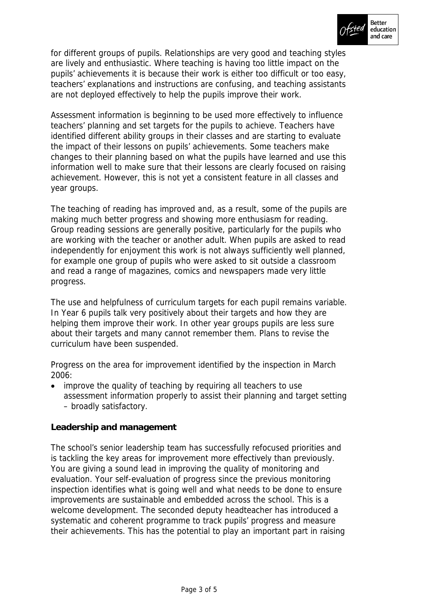

for different groups of pupils. Relationships are very good and teaching styles are lively and enthusiastic. Where teaching is having too little impact on the pupils' achievements it is because their work is either too difficult or too easy, teachers' explanations and instructions are confusing, and teaching assistants are not deployed effectively to help the pupils improve their work.

Assessment information is beginning to be used more effectively to influence teachers' planning and set targets for the pupils to achieve. Teachers have identified different ability groups in their classes and are starting to evaluate the impact of their lessons on pupils' achievements. Some teachers make changes to their planning based on what the pupils have learned and use this information well to make sure that their lessons are clearly focused on raising achievement. However, this is not yet a consistent feature in all classes and year groups.

The teaching of reading has improved and, as a result, some of the pupils are making much better progress and showing more enthusiasm for reading. Group reading sessions are generally positive, particularly for the pupils who are working with the teacher or another adult. When pupils are asked to read independently for enjoyment this work is not always sufficiently well planned, for example one group of pupils who were asked to sit outside a classroom and read a range of magazines, comics and newspapers made very little progress.

The use and helpfulness of curriculum targets for each pupil remains variable. In Year 6 pupils talk very positively about their targets and how they are helping them improve their work. In other year groups pupils are less sure about their targets and many cannot remember them. Plans to revise the curriculum have been suspended.

Progress on the area for improvement identified by the inspection in March 2006:

 improve the quality of teaching by requiring all teachers to use assessment information properly to assist their planning and target setting – broadly satisfactory.

## **Leadership and management**

The school's senior leadership team has successfully refocused priorities and is tackling the key areas for improvement more effectively than previously. You are giving a sound lead in improving the quality of monitoring and evaluation. Your self-evaluation of progress since the previous monitoring inspection identifies what is going well and what needs to be done to ensure improvements are sustainable and embedded across the school. This is a welcome development. The seconded deputy headteacher has introduced a systematic and coherent programme to track pupils' progress and measure their achievements. This has the potential to play an important part in raising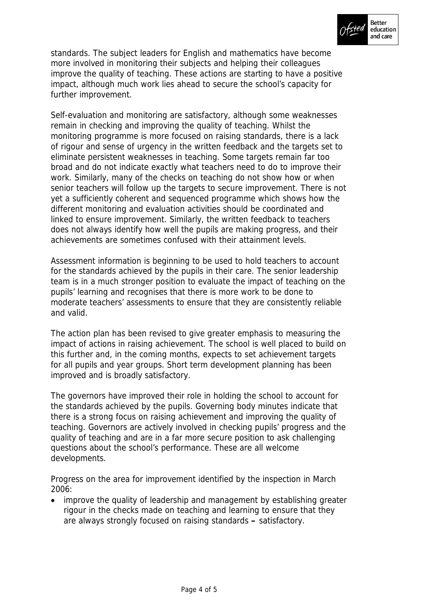

standards. The subject leaders for English and mathematics have become more involved in monitoring their subjects and helping their colleagues improve the quality of teaching. These actions are starting to have a positive impact, although much work lies ahead to secure the school's capacity for further improvement.

Self-evaluation and monitoring are satisfactory, although some weaknesses remain in checking and improving the quality of teaching. Whilst the monitoring programme is more focused on raising standards, there is a lack of rigour and sense of urgency in the written feedback and the targets set to eliminate persistent weaknesses in teaching. Some targets remain far too broad and do not indicate exactly what teachers need to do to improve their work. Similarly, many of the checks on teaching do not show how or when senior teachers will follow up the targets to secure improvement. There is not yet a sufficiently coherent and sequenced programme which shows how the different monitoring and evaluation activities should be coordinated and linked to ensure improvement. Similarly, the written feedback to teachers does not always identify how well the pupils are making progress, and their achievements are sometimes confused with their attainment levels.

Assessment information is beginning to be used to hold teachers to account for the standards achieved by the pupils in their care. The senior leadership team is in a much stronger position to evaluate the impact of teaching on the pupils' learning and recognises that there is more work to be done to moderate teachers' assessments to ensure that they are consistently reliable and valid.

The action plan has been revised to give greater emphasis to measuring the impact of actions in raising achievement. The school is well placed to build on this further and, in the coming months, expects to set achievement targets for all pupils and year groups. Short term development planning has been improved and is broadly satisfactory.

The governors have improved their role in holding the school to account for the standards achieved by the pupils. Governing body minutes indicate that there is a strong focus on raising achievement and improving the quality of teaching. Governors are actively involved in checking pupils' progress and the quality of teaching and are in a far more secure position to ask challenging questions about the school's performance. These are all welcome developments.

Progress on the area for improvement identified by the inspection in March 2006:

 improve the quality of leadership and management by establishing greater rigour in the checks made on teaching and learning to ensure that they are always strongly focused on raising standards **–** satisfactory.